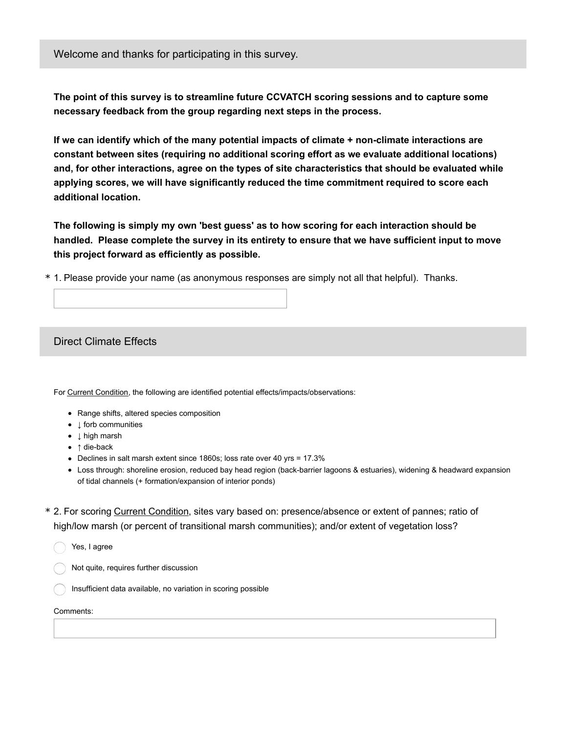Welcome and thanks for participating in this survey.

**The point of this survey is to streamline future CCVATCH scoring sessions and to capture some necessary feedback from the group regarding next steps in the process.**

**If we can identify which of the many potential impacts of climate + non-climate interactions are constant between sites (requiring no additional scoring effort as we evaluate additional locations) and, for other interactions, agree on the types of site characteristics that should be evaluated while applying scores, we will have significantly reduced the time commitment required to score each additional location.**

**The following is simply my own 'best guess' as to how scoring for each interaction should be handled. Please complete the survey in its entirety to ensure that we have sufficient input to move this project forward as efficiently as possible.**

\* 1. Please provide your name (as anonymous responses are simply not all that helpful). Thanks.

Direct Climate Effects

For Current Condition, the following are identified potential effects/impacts/observations:

- Range shifts, altered species composition
- $\bot$  forb communities
- ↓ high marsh
- ↑ die-back
- Declines in salt marsh extent since 1860s; loss rate over 40 yrs = 17.3%
- Loss through: shoreline erosion, reduced bay head region (back-barrier lagoons & estuaries), widening & headward expansion of tidal channels (+ formation/expansion of interior ponds)
- \* 2. For scoring Current Condition, sites vary based on: presence/absence or extent of pannes; ratio of high/low marsh (or percent of transitional marsh communities); and/or extent of vegetation loss?

Yes, I agree

- Not quite, requires further discussion
- Insufficient data available, no variation in scoring possible

Comments: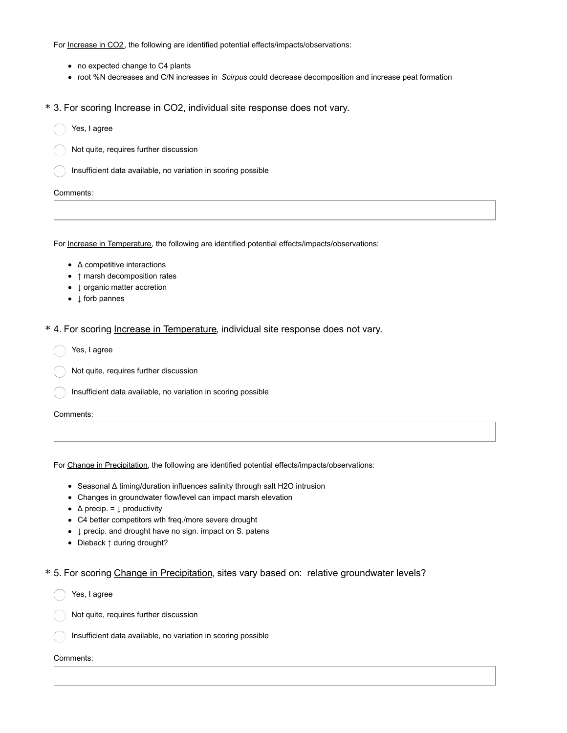For Increase in CO2, the following are identified potential effects/impacts/observations:

- no expected change to C4 plants
- root %N decreases and C/N increases in *Scirpus* could decrease decomposition and increase peat formation
- \* 3. For scoring Increase in CO2, individual site response does not vary.
	- Yes, I agree
	- Not quite, requires further discussion
	- Insufficient data available, no variation in scoring possible

#### Comments:

For Increase in Temperature, the following are identified potential effects/impacts/observations:

- Δ competitive interactions
- ↑ marsh decomposition rates
- ↓ organic matter accretion
- ↓ forb pannes
- \* 4. For scoring Increase in Temperature, individual site response does not vary.
	- Yes, I agree
	- Not quite, requires further discussion
	- Insufficient data available, no variation in scoring possible
	- Comments:

For Change in Precipitation, the following are identified potential effects/impacts/observations:

- Seasonal Δ timing/duration influences salinity through salt H2O intrusion
- Changes in groundwater flow/level can impact marsh elevation
- $\Delta$  precip. =  $\downarrow$  productivity
- C4 better competitors wth freq./more severe drought
- $\downarrow$  precip. and drought have no sign. impact on S. patens
- Dieback ↑ during drought?
- \* 5. For scoring Change in Precipitation, sites vary based on: relative groundwater levels?
	- Comments: Yes, I agree Not quite, requires further discussion Insufficient data available, no variation in scoring possible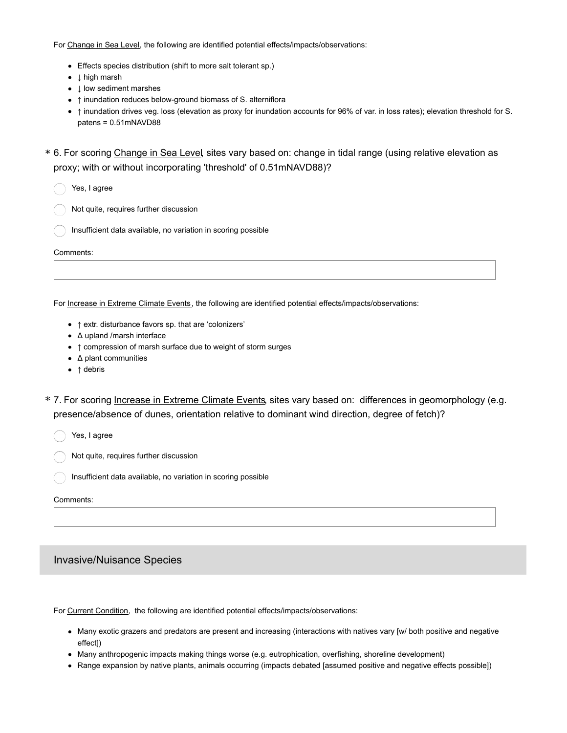For Change in Sea Level, the following are identified potential effects/impacts/observations:

- Effects species distribution (shift to more salt tolerant sp.)
- ↓ high marsh
- ↓ low sediment marshes
- ↑ inundation reduces below-ground biomass of S. alterniflora
- ↑ inundation drives veg. loss (elevation as proxy for inundation accounts for 96% of var. in loss rates); elevation threshold for S. patens = 0.51mNAVD88
- \* 6. For scoring Change in Sea Level, sites vary based on: change in tidal range (using relative elevation as proxy; with or without incorporating 'threshold' of 0.51mNAVD88)?

Signed Yes, I agree

- Not quite, requires further discussion
- Insufficient data available, no variation in scoring possible

#### Comments:

For Increase in Extreme Climate Events, the following are identified potential effects/impacts/observations:

- ↑ extr. disturbance favors sp. that are 'colonizers'
- Δ upland /marsh interface
- ↑ compression of marsh surface due to weight of storm surges
- Δ plant communities
- ↑ debris
- \* 7. For scoring Increase in Extreme Climate Events, sites vary based on: differences in geomorphology (e.g. presence/absence of dunes, orientation relative to dominant wind direction, degree of fetch)?

Yes, I agree

Not quite, requires further discussion

Insufficient data available, no variation in scoring possible

#### Comments:

## Invasive/Nuisance Species

For Current Condition, the following are identified potential effects/impacts/observations:

- Many exotic grazers and predators are present and increasing (interactions with natives vary [w/ both positive and negative effect])
- Many anthropogenic impacts making things worse (e.g. eutrophication, overfishing, shoreline development)
- Range expansion by native plants, animals occurring (impacts debated [assumed positive and negative effects possible])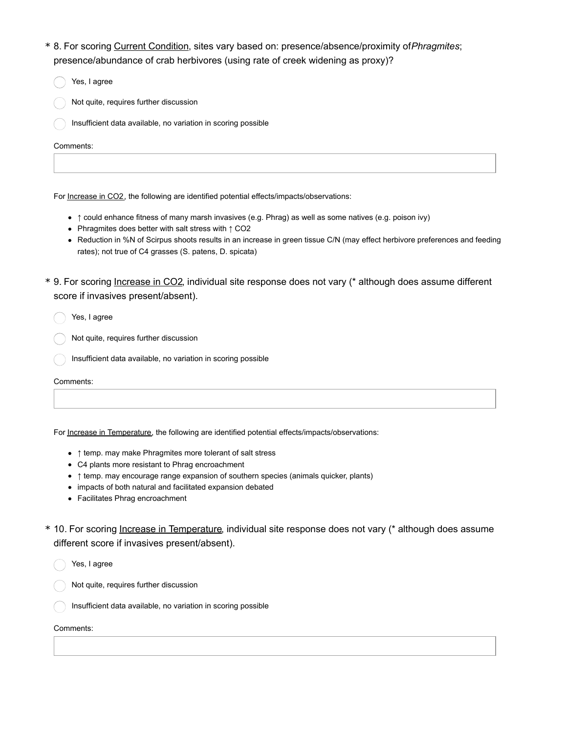- 8. For scoring Current Condition, sites vary based on: presence/absence/proximity of*Phragmites*; \* presence/abundance of crab herbivores (using rate of creek widening as proxy)?
- Comments: Yes, I agree Not quite, requires further discussion Insufficient data available, no variation in scoring possible

For Increase in CO2, the following are identified potential effects/impacts/observations:

- ↑ could enhance fitness of many marsh invasives (e.g. Phrag) as well as some natives (e.g. poison ivy)
- Phragmites does better with salt stress with ↑ CO2
- Reduction in %N of Scirpus shoots results in an increase in green tissue C/N (may effect herbivore preferences and feeding rates); not true of C4 grasses (S. patens, D. spicata)
- \* 9. For scoring *Increase in CO2*, individual site response does not vary (\* although does assume different score if invasives present/absent).

Yes, I agree

- Not quite, requires further discussion
- Insufficient data available, no variation in scoring possible

Comments:

For Increase in Temperature, the following are identified potential effects/impacts/observations:

- ↑ temp. may make Phragmites more tolerant of salt stress
- C4 plants more resistant to Phrag encroachment
- ↑ temp. may encourage range expansion of southern species (animals quicker, plants)
- impacts of both natural and facilitated expansion debated
- Facilitates Phrag encroachment
- \* 10. For scoring lncrease in Temperature, individual site response does not vary (\* although does assume different score if invasives present/absent).

Yes, I agree

- Not quite, requires further discussion
- Insufficient data available, no variation in scoring possible

Comments: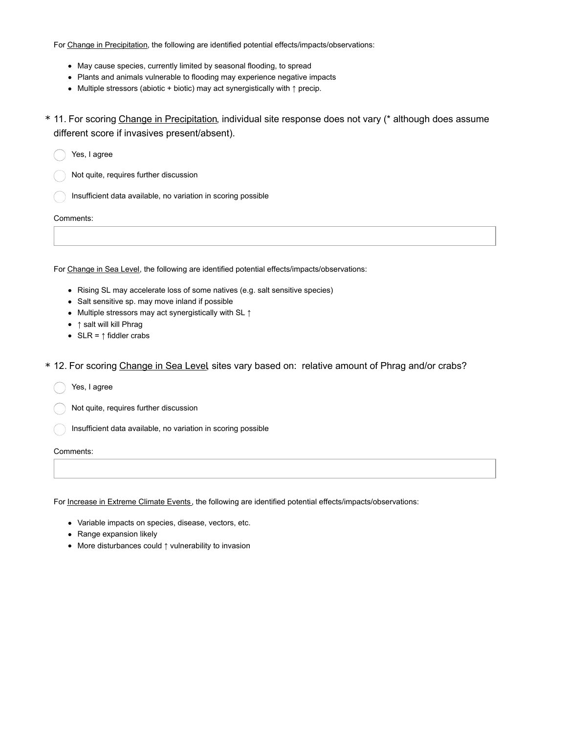For Change in Precipitation, the following are identified potential effects/impacts/observations:

- May cause species, currently limited by seasonal flooding, to spread
- Plants and animals vulnerable to flooding may experience negative impacts
- Multiple stressors (abiotic + biotic) may act synergistically with ↑ precip.
- \* 11. For scoring Change in Precipitation, individual site response does not vary (\* although does assume different score if invasives present/absent).

Yes, I agree

Not quite, requires further discussion

Insufficient data available, no variation in scoring possible

Comments:

For Change in Sea Level, the following are identified potential effects/impacts/observations:

- Rising SL may accelerate loss of some natives (e.g. salt sensitive species)
- Salt sensitive sp. may move inland if possible
- Multiple stressors may act synergistically with SL ↑
- ↑ salt will kill Phrag
- SLR =  $\uparrow$  fiddler crabs
- \* 12. For scoring Change in Sea Level, sites vary based on: relative amount of Phrag and/or crabs?

Yes, I agree

Not quite, requires further discussion

Insufficient data available, no variation in scoring possible

#### Comments:

For Increase in Extreme Climate Events, the following are identified potential effects/impacts/observations:

- Variable impacts on species, disease, vectors, etc.
- Range expansion likely
- More disturbances could ↑ vulnerability to invasion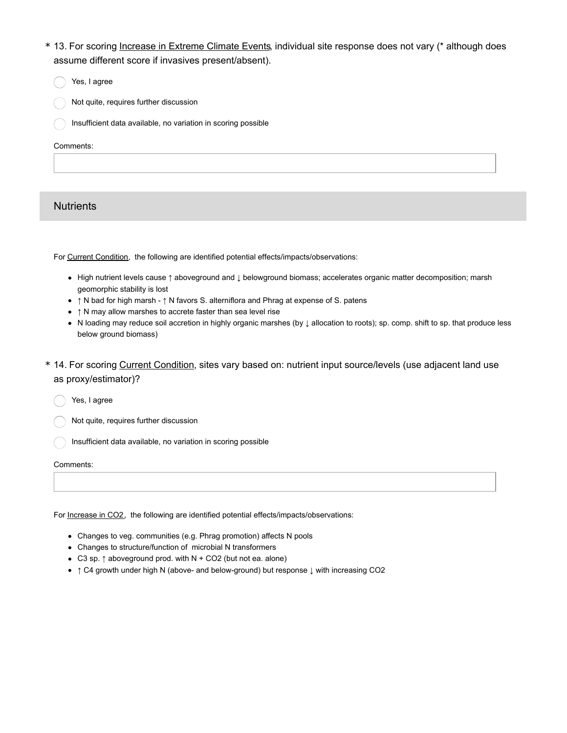- \* 13. For scoring *Increase in Extreme Climate Events*, individual site response does not vary (\* although does assume different score if invasives present/absent).
- Comments: Yes, I agree Not quite, requires further discussion Insufficient data available, no variation in scoring possible

# **Nutrients**

For Current Condition, the following are identified potential effects/impacts/observations:

- High nutrient levels cause ↑ aboveground and ↓ belowground biomass; accelerates organic matter decomposition; marsh geomorphic stability is lost
- ↑ N bad for high marsh ↑ N favors S. alterniflora and Phrag at expense of S. patens
- ↑ N may allow marshes to accrete faster than sea level rise
- N loading may reduce soil accretion in highly organic marshes (by ↓ allocation to roots); sp. comp. shift to sp. that produce less below ground biomass)
- \* 14. For scoring Current Condition, sites vary based on: nutrient input source/levels (use adjacent land use as proxy/estimator)?

Yes, I agree

- Not quite, requires further discussion
- Insufficient data available, no variation in scoring possible

#### Comments:

For Increase in CO2, the following are identified potential effects/impacts/observations:

- Changes to veg. communities (e.g. Phrag promotion) affects N pools
- Changes to structure/function of microbial N transformers
- C3 sp. ↑ aboveground prod. with N + CO2 (but not ea. alone)
- ↑ C4 growth under high N (above- and below-ground) but response ↓ with increasing CO2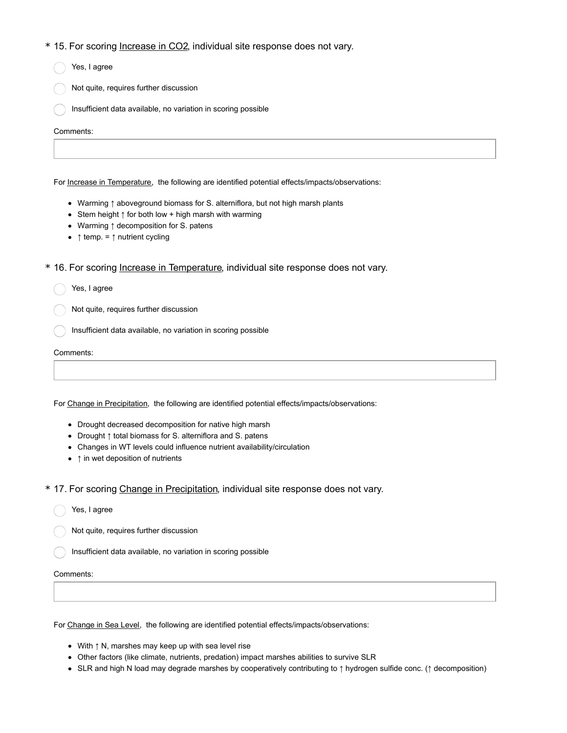### \* 15. For scoring Increase in CO2, individual site response does not vary.

| <b>U. I OF SCOTING <u>INCREASE IN COZ,</u> INCREASE SHE RESPONSE QUES NOT VALY.</b> |
|-------------------------------------------------------------------------------------|
| Yes, I agree                                                                        |
| Not quite, requires further discussion                                              |
| Insufficient data available, no variation in scoring possible                       |
| Comments:                                                                           |
|                                                                                     |

- Warming ↑ aboveground biomass for S. alterniflora, but not high marsh plants
- Stem height ↑ for both low + high marsh with warming
- Warming ↑ decomposition for S. patens
- ↑ temp. = ↑ nutrient cycling

\* 16. For scoring Increase in Temperature, individual site response does not vary.

Yes, I agree

Not quite, requires further discussion

Insufficient data available, no variation in scoring possible

Comments:

For Change in Precipitation, the following are identified potential effects/impacts/observations:

- Drought decreased decomposition for native high marsh
- Drought ↑ total biomass for S. alterniflora and S. patens
- Changes in WT levels could influence nutrient availability/circulation
- ↑ in wet deposition of nutrients

\* 17. For scoring Change in Precipitation, individual site response does not vary.

Yes, I agree

Not quite, requires further discussion

Insufficient data available, no variation in scoring possible

#### Comments:

For Change in Sea Level, the following are identified potential effects/impacts/observations:

- With ↑ N, marshes may keep up with sea level rise
- Other factors (like climate, nutrients, predation) impact marshes abilities to survive SLR
- SLR and high N load may degrade marshes by cooperatively contributing to ↑ hydrogen sulfide conc. (↑ decomposition)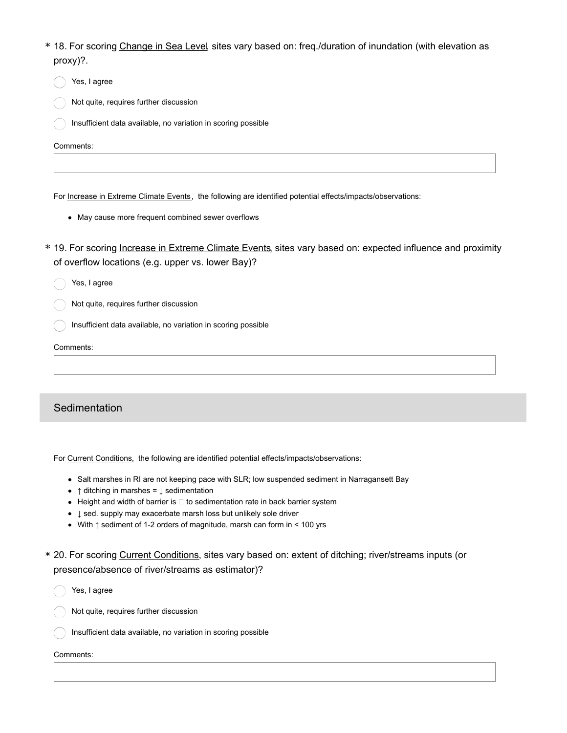- \* 18. For scoring Change in Sea Level, sites vary based on: freq./duration of inundation (with elevation as proxy)?.
	- Yes, I agree
	- Not quite, requires further discussion
	- Insufficient data available, no variation in scoring possible

For Increase in Extreme Climate Events, the following are identified potential effects/impacts/observations:

- May cause more frequent combined sewer overflows
- \* 19. For scoring Increase in Extreme Climate Events, sites vary based on: expected influence and proximity of overflow locations (e.g. upper vs. lower Bay)?
	- Yes, I agree
	- Not quite, requires further discussion
	- Insufficient data available, no variation in scoring possible

Comments:

# **Sedimentation**

For Current Conditions, the following are identified potential effects/impacts/observations:

- Salt marshes in RI are not keeping pace with SLR; low suspended sediment in Narragansett Bay
- $\bullet$  ↑ ditching in marshes =  $\downarrow$  sedimentation
- $\bullet$  Height and width of barrier is  $\Box$  to sedimentation rate in back barrier system
- ↓ sed. supply may exacerbate marsh loss but unlikely sole driver
- With ↑ sediment of 1-2 orders of magnitude, marsh can form in < 100 yrs
- \* 20. For scoring Current Conditions, sites vary based on: extent of ditching; river/streams inputs (or presence/absence of river/streams as estimator)?
	- Yes, I agree
	- Not quite, requires further discussion
	- Insufficient data available, no variation in scoring possible

### Comments: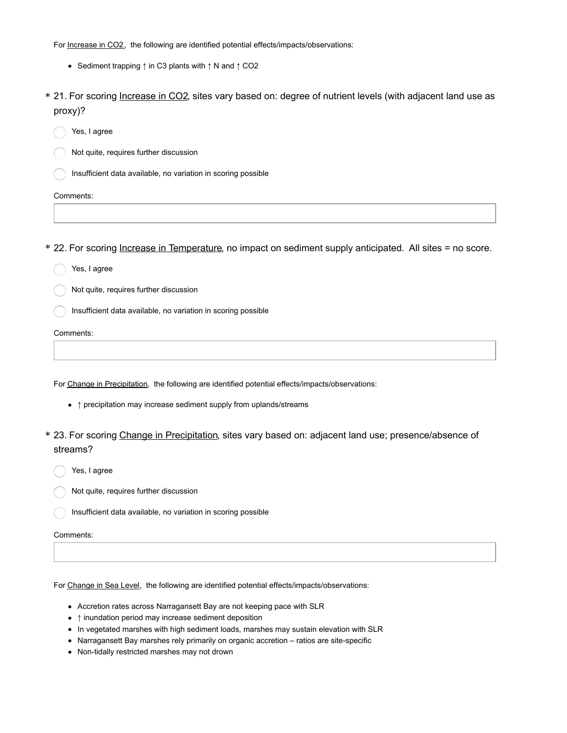For Increase in CO2, the following are identified potential effects/impacts/observations:

- Sediment trapping ↑ in C3 plants with ↑ N and ↑ CO2
- \* 21. For scoring *Increase in CO2*, sites vary based on: degree of nutrient levels (with adjacent land use as proxy)?
	- Yes, I agree
	- Not quite, requires further discussion
	- Insufficient data available, no variation in scoring possible
	- Comments:
- \* 22. For scoring Increase in Temperature, no impact on sediment supply anticipated. All sites = no score.
	- Signed Yes, I agree
	- Not quite, requires further discussion
	- Insufficient data available, no variation in scoring possible

Comments:

For Change in Precipitation, the following are identified potential effects/impacts/observations:

- ↑ precipitation may increase sediment supply from uplands/streams
- \* 23. For scoring Change in Precipitation, sites vary based on: adjacent land use; presence/absence of streams?
	- Yes, I agree
	- Not quite, requires further discussion
	- Insufficient data available, no variation in scoring possible
	- Comments:

For Change in Sea Level, the following are identified potential effects/impacts/observations:

- Accretion rates across Narragansett Bay are not keeping pace with SLR
- ↑ inundation period may increase sediment deposition
- In vegetated marshes with high sediment loads, marshes may sustain elevation with SLR
- Narragansett Bay marshes rely primarily on organic accretion ratios are site-specific
- Non-tidally restricted marshes may not drown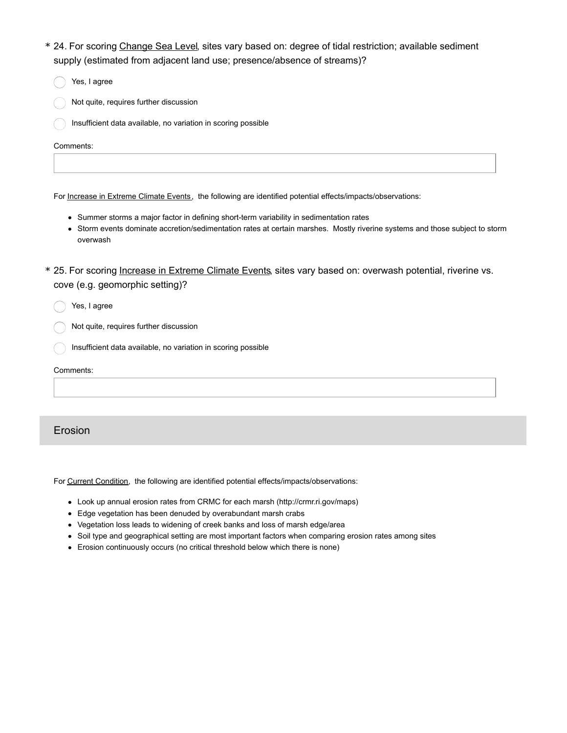- \* 24. For scoring Change Sea Level, sites vary based on: degree of tidal restriction; available sediment supply (estimated from adjacent land use; presence/absence of streams)?
- Yes, I agree Not quite, requires further discussion Insufficient data available, no variation in scoring possible

For Increase in Extreme Climate Events, the following are identified potential effects/impacts/observations:

- Summer storms a major factor in defining short-term variability in sedimentation rates
- Storm events dominate accretion/sedimentation rates at certain marshes. Mostly riverine systems and those subject to storm overwash
- \* 25. For scoring *Increase in Extreme Climate Events*, sites vary based on: overwash potential, riverine vs. cove (e.g. geomorphic setting)?

Yes, I agree

Not quite, requires further discussion

Insufficient data available, no variation in scoring possible

Comments:

## Erosion

For Current Condition, the following are identified potential effects/impacts/observations:

- Look up annual erosion rates from CRMC for each marsh (http://crmr.ri.gov/maps)
- Edge vegetation has been denuded by overabundant marsh crabs
- Vegetation loss leads to widening of creek banks and loss of marsh edge/area
- Soil type and geographical setting are most important factors when comparing erosion rates among sites
- Erosion continuously occurs (no critical threshold below which there is none)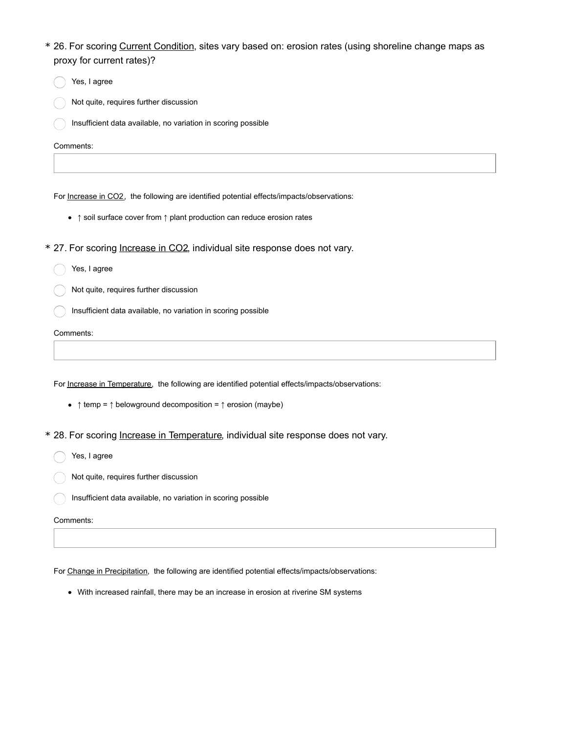- \* 26. For scoring Current Condition, sites vary based on: erosion rates (using shoreline change maps as proxy for current rates)?
	- Yes, I agree
	- Not quite, requires further discussion
	- Insufficient data available, no variation in scoring possible

For Increase in CO2, the following are identified potential effects/impacts/observations:

- ↑ soil surface cover from ↑ plant production can reduce erosion rates
- \* 27. For scoring Increase in CO2, individual site response does not vary.
	- Signed Yes, I agree
	- Not quite, requires further discussion
	- Insufficient data available, no variation in scoring possible

Comments:

For Increase in Temperature, the following are identified potential effects/impacts/observations:

- $\uparrow$  temp =  $\uparrow$  belowground decomposition =  $\uparrow$  erosion (maybe)
- \* 28. For scoring Increase in Temperature, individual site response does not vary.
	- Yes, I agree
	- Not quite, requires further discussion
	- $\bigcap$  Insufficient data available, no variation in scoring possible

Comments:

For Change in Precipitation, the following are identified potential effects/impacts/observations:

With increased rainfall, there may be an increase in erosion at riverine SM systems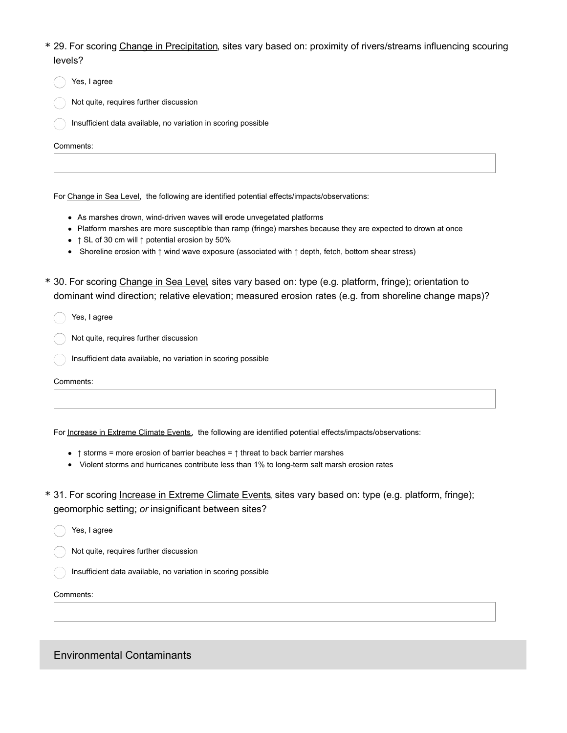- 29. For scoring Change in Precipitation, sites vary based on: proximity of rivers/streams influencing scouring \* levels?
	- Yes, I agree
	- Not quite, requires further discussion
	- Insufficient data available, no variation in scoring possible

For Change in Sea Level, the following are identified potential effects/impacts/observations:

- As marshes drown, wind-driven waves will erode unvegetated platforms
- Platform marshes are more susceptible than ramp (fringe) marshes because they are expected to drown at once
- ↑ SL of 30 cm will ↑ potential erosion by 50%
- Shoreline erosion with ↑ wind wave exposure (associated with ↑ depth, fetch, bottom shear stress)
- \* 30. For scoring Change in Sea Level, sites vary based on: type (e.g. platform, fringe); orientation to dominant wind direction; relative elevation; measured erosion rates (e.g. from shoreline change maps)?

Yes, I agree

- Not quite, requires further discussion
- Insufficient data available, no variation in scoring possible

Comments:

For Increase in Extreme Climate Events, the following are identified potential effects/impacts/observations:

- ↑ storms = more erosion of barrier beaches = ↑ threat to back barrier marshes
- Violent storms and hurricanes contribute less than 1% to long-term salt marsh erosion rates
- \* 31. For scoring *Increase in Extreme Climate Events*, sites vary based on: type (e.g. platform, fringe); geomorphic setting; *or* insignificant between sites?
	- Yes, I agree
	- Not quite, requires further discussion
	- Insufficient data available, no variation in scoring possible

#### Comments:

Environmental Contaminants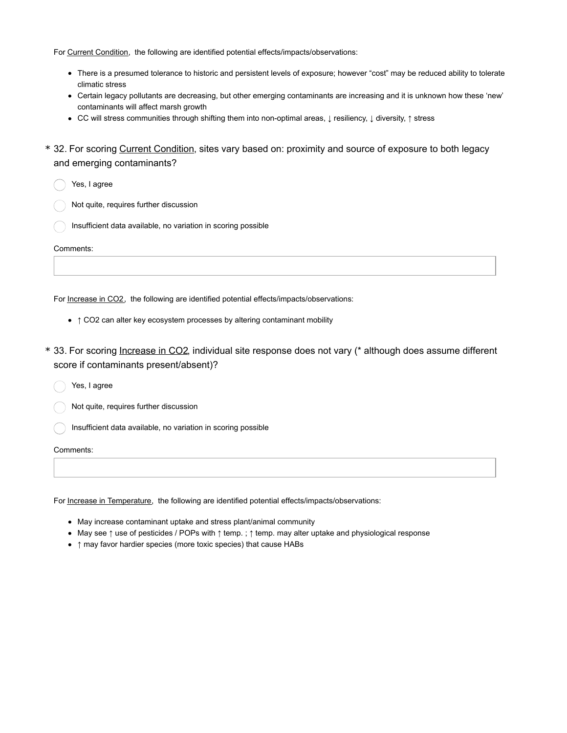For Current Condition, the following are identified potential effects/impacts/observations:

- There is a presumed tolerance to historic and persistent levels of exposure; however "cost" may be reduced ability to tolerate climatic stress
- Certain legacy pollutants are decreasing, but other emerging contaminants are increasing and it is unknown how these 'new' contaminants will affect marsh growth
- CC will stress communities through shifting them into non-optimal areas, ↓ resiliency, ↓ diversity, ↑ stress
- \* 32. For scoring Current Condition, sites vary based on: proximity and source of exposure to both legacy and emerging contaminants?

Yes, I agree

- Not quite, requires further discussion
- Insufficient data available, no variation in scoring possible

Comments:

For Increase in CO2, the following are identified potential effects/impacts/observations:

- ↑ CO2 can alter key ecosystem processes by altering contaminant mobility
- \* 33. For scoring <u>Increase in CO2</u>, individual site response does not vary (\* although does assume different score if contaminants present/absent)?

Yes, I agree

Not quite, requires further discussion

Insufficient data available, no variation in scoring possible

Comments:

For Increase in Temperature, the following are identified potential effects/impacts/observations:

- May increase contaminant uptake and stress plant/animal community
- May see ↑ use of pesticides / POPs with ↑ temp. ; ↑ temp. may alter uptake and physiological response
- ↑ may favor hardier species (more toxic species) that cause HABs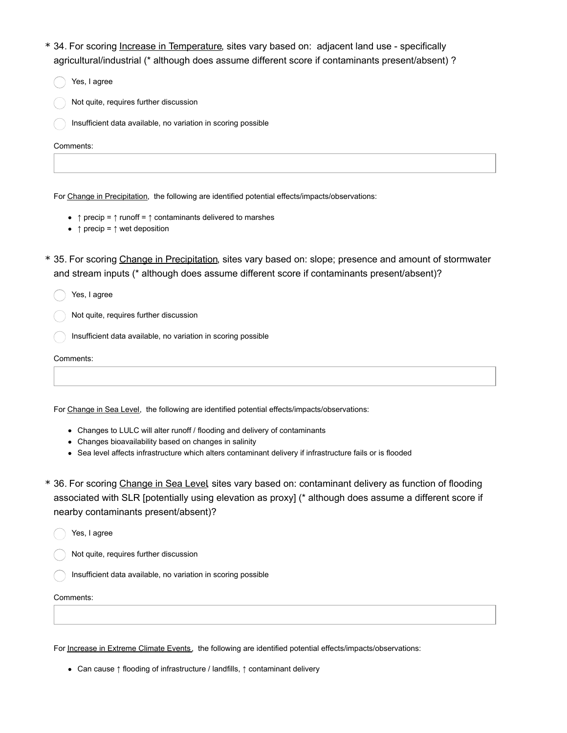- \* 34. For scoring *Increase in Temperature*, sites vary based on: adjacent land use specifically agricultural/industrial (\* although does assume different score if contaminants present/absent) ?
	- Yes, I agree
	- Not quite, requires further discussion
	- Insufficient data available, no variation in scoring possible

For Change in Precipitation, the following are identified potential effects/impacts/observations:

- ↑ precip = ↑ runoff = ↑ contaminants delivered to marshes
- $\uparrow$  precip =  $\uparrow$  wet deposition
- \* 35. For scoring Change in Precipitation, sites vary based on: slope; presence and amount of stormwater and stream inputs (\* although does assume different score if contaminants present/absent)?
	- Yes, I agree
	- Not quite, requires further discussion
	- Insufficient data available, no variation in scoring possible

```
Comments:
```
For Change in Sea Level, the following are identified potential effects/impacts/observations:

- Changes to LULC will alter runoff / flooding and delivery of contaminants
- Changes bioavailability based on changes in salinity
- Sea level affects infrastructure which alters contaminant delivery if infrastructure fails or is flooded
- \* 36. For scoring Change in Sea Level, sites vary based on: contaminant delivery as function of flooding associated with SLR [potentially using elevation as proxy] (\* although does assume a different score if nearby contaminants present/absent)?
	- Yes, I agree
	- Not quite, requires further discussion
	- Insufficient data available, no variation in scoring possible

#### Comments:

For Increase in Extreme Climate Events, the following are identified potential effects/impacts/observations:

Can cause ↑ flooding of infrastructure / landfills, ↑ contaminant delivery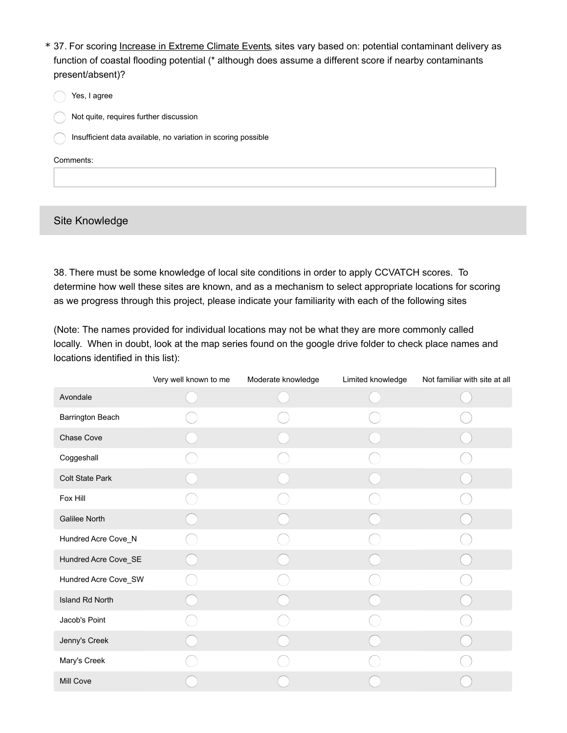- \* 37. For scoring Increase in Extreme Climate Events, sites vary based on: potential contaminant delivery as function of coastal flooding potential (\* although does assume a different score if nearby contaminants present/absent)?
	- Yes, I agree
	- Not quite, requires further discussion
	- $\bigcap$  Insufficient data available, no variation in scoring possible

# Site Knowledge

38. There must be some knowledge of local site conditions in order to apply CCVATCH scores. To determine how well these sites are known, and as a mechanism to select appropriate locations for scoring as we progress through this project, please indicate your familiarity with each of the following sites

(Note: The names provided for individual locations may not be what they are more commonly called locally. When in doubt, look at the map series found on the google drive folder to check place names and locations identified in this list):

|                        | Very well known to me | Moderate knowledge | Limited knowledge | Not familiar with site at all |
|------------------------|-----------------------|--------------------|-------------------|-------------------------------|
| Avondale               |                       |                    |                   |                               |
| Barrington Beach       |                       |                    |                   |                               |
| Chase Cove             |                       |                    |                   |                               |
| Coggeshall             |                       |                    |                   |                               |
| <b>Colt State Park</b> |                       |                    |                   |                               |
| Fox Hill               |                       |                    |                   |                               |
| <b>Galilee North</b>   |                       |                    |                   |                               |
| Hundred Acre Cove_N    |                       |                    |                   |                               |
| Hundred Acre Cove_SE   |                       |                    |                   |                               |
| Hundred Acre Cove_SW   |                       |                    |                   |                               |
| Island Rd North        |                       |                    |                   |                               |
| Jacob's Point          |                       |                    |                   |                               |
| Jenny's Creek          |                       |                    |                   |                               |
| Mary's Creek           |                       |                    |                   |                               |
| <b>Mill Cove</b>       |                       |                    |                   |                               |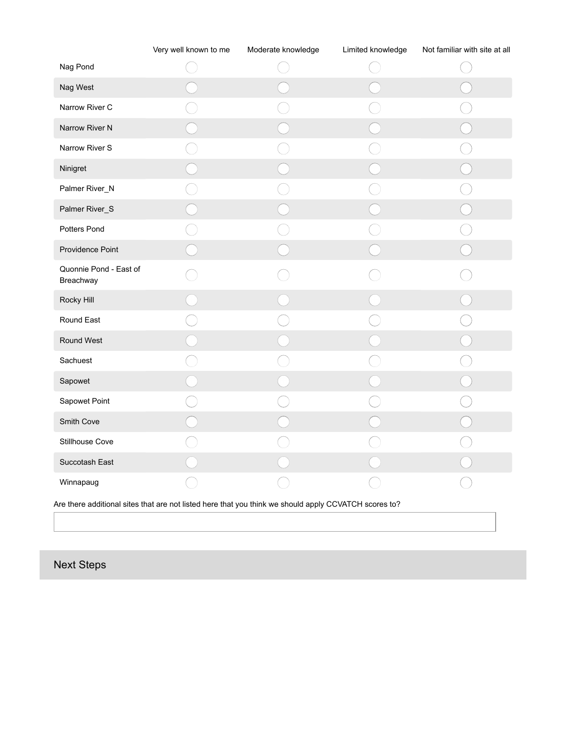|                                                                                                       | Very well known to me | Moderate knowledge | Limited knowledge | Not familiar with site at all |  |  |
|-------------------------------------------------------------------------------------------------------|-----------------------|--------------------|-------------------|-------------------------------|--|--|
| Nag Pond                                                                                              |                       |                    |                   |                               |  |  |
| Nag West                                                                                              |                       |                    |                   |                               |  |  |
| Narrow River C                                                                                        |                       |                    |                   |                               |  |  |
| Narrow River N                                                                                        |                       |                    |                   |                               |  |  |
| Narrow River S                                                                                        |                       |                    |                   |                               |  |  |
| Ninigret                                                                                              |                       |                    |                   |                               |  |  |
| Palmer River_N                                                                                        |                       |                    |                   |                               |  |  |
| Palmer River_S                                                                                        |                       |                    |                   |                               |  |  |
| Potters Pond                                                                                          |                       |                    |                   |                               |  |  |
| Providence Point                                                                                      |                       |                    |                   |                               |  |  |
| Quonnie Pond - East of<br>Breachway                                                                   |                       |                    |                   |                               |  |  |
| Rocky Hill                                                                                            |                       |                    |                   |                               |  |  |
| Round East                                                                                            |                       |                    |                   |                               |  |  |
| Round West                                                                                            |                       |                    |                   |                               |  |  |
| Sachuest                                                                                              |                       |                    |                   |                               |  |  |
| Sapowet                                                                                               |                       |                    |                   |                               |  |  |
| Sapowet Point                                                                                         |                       |                    |                   |                               |  |  |
| Smith Cove                                                                                            |                       |                    |                   |                               |  |  |
| Stillhouse Cove                                                                                       |                       |                    |                   |                               |  |  |
| Succotash East                                                                                        |                       |                    |                   |                               |  |  |
| Winnapaug                                                                                             |                       |                    |                   |                               |  |  |
| Are there additional sites that are not listed here that you think we should apply CCVATCH scores to? |                       |                    |                   |                               |  |  |

Next Steps